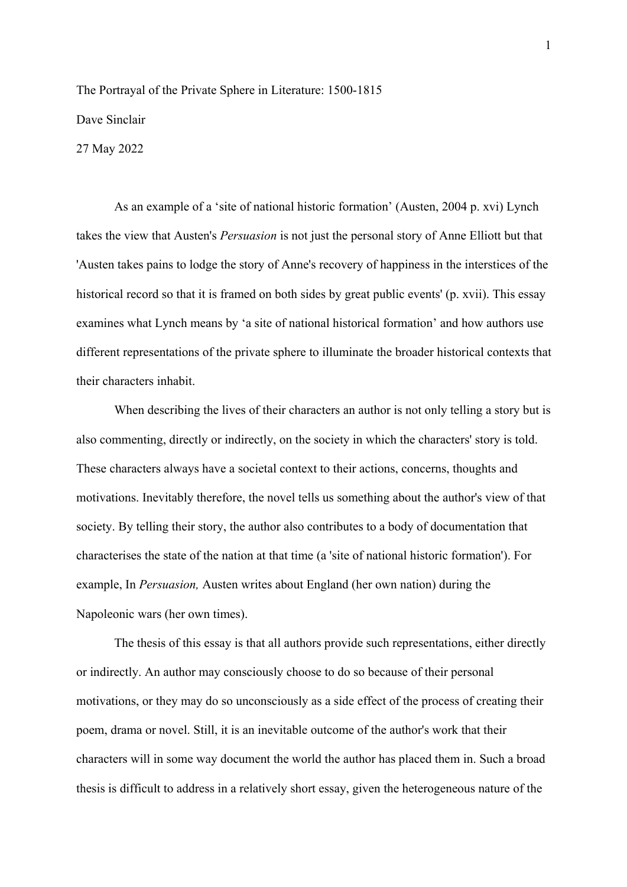## The Portrayal of the Private Sphere in Literature: 1500-1815 Dave Sinclair 27 May 2022

As an example of a 'site of national historic formation' (Austen, 2004 p. xvi) Lynch takes the view that Austen's *Persuasion* is not just the personal story of Anne Elliott but that 'Austen takes pains to lodge the story of Anne's recovery of happiness in the interstices of the historical record so that it is framed on both sides by great public events' (p. xvii). This essay examines what Lynch means by 'a site of national historical formation' and how authors use different representations of the private sphere to illuminate the broader historical contexts that their characters inhabit.

When describing the lives of their characters an author is not only telling a story but is also commenting, directly or indirectly, on the society in which the characters' story is told. These characters always have a societal context to their actions, concerns, thoughts and motivations. Inevitably therefore, the novel tells us something about the author's view of that society. By telling their story, the author also contributes to a body of documentation that characterises the state of the nation at that time (a 'site of national historic formation'). For example, In *Persuasion,* Austen writes about England (her own nation) during the Napoleonic wars (her own times).

The thesis of this essay is that all authors provide such representations, either directly or indirectly. An author may consciously choose to do so because of their personal motivations, or they may do so unconsciously as a side effect of the process of creating their poem, drama or novel. Still, it is an inevitable outcome of the author's work that their characters will in some way document the world the author has placed them in. Such a broad thesis is difficult to address in a relatively short essay, given the heterogeneous nature of the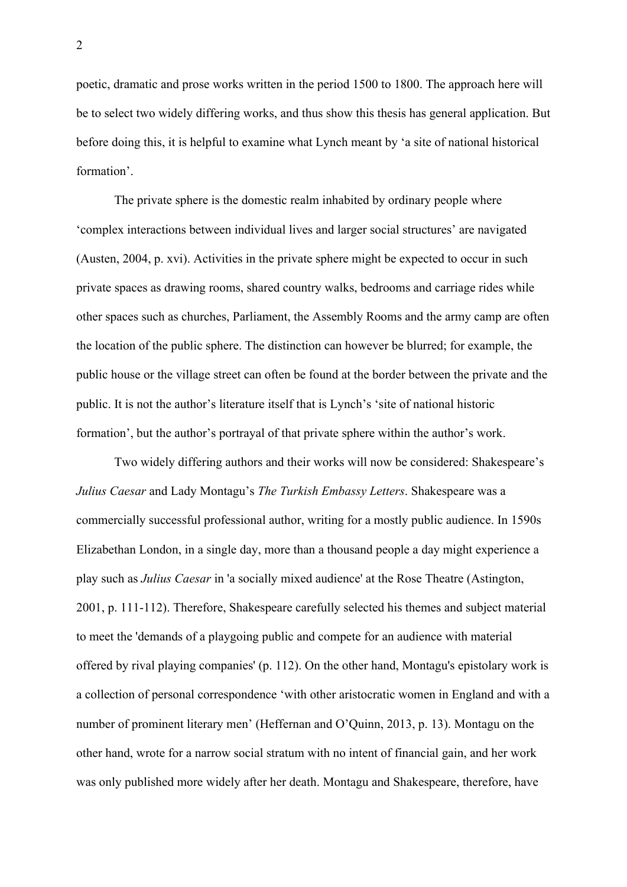poetic, dramatic and prose works written in the period 1500 to 1800. The approach here will be to select two widely differing works, and thus show this thesis has general application. But before doing this, it is helpful to examine what Lynch meant by 'a site of national historical formation'.

The private sphere is the domestic realm inhabited by ordinary people where 'complex interactions between individual lives and larger social structures' are navigated (Austen, 2004, p. xvi). Activities in the private sphere might be expected to occur in such private spaces as drawing rooms, shared country walks, bedrooms and carriage rides while other spaces such as churches, Parliament, the Assembly Rooms and the army camp are often the location of the public sphere. The distinction can however be blurred; for example, the public house or the village street can often be found at the border between the private and the public. It is not the author's literature itself that is Lynch's 'site of national historic formation', but the author's portrayal of that private sphere within the author's work.

Two widely differing authors and their works will now be considered: Shakespeare's *Julius Caesar* and Lady Montagu's *The Turkish Embassy Letters*. Shakespeare was a commercially successful professional author, writing for a mostly public audience. In 1590s Elizabethan London, in a single day, more than a thousand people a day might experience a play such as *Julius Caesar* in 'a socially mixed audience' at the Rose Theatre (Astington, 2001, p. 111-112). Therefore, Shakespeare carefully selected his themes and subject material to meet the 'demands of a playgoing public and compete for an audience with material offered by rival playing companies' (p. 112). On the other hand, Montagu's epistolary work is a collection of personal correspondence 'with other aristocratic women in England and with a number of prominent literary men' (Heffernan and O'Quinn, 2013, p. 13). Montagu on the other hand, wrote for a narrow social stratum with no intent of financial gain, and her work was only published more widely after her death. Montagu and Shakespeare, therefore, have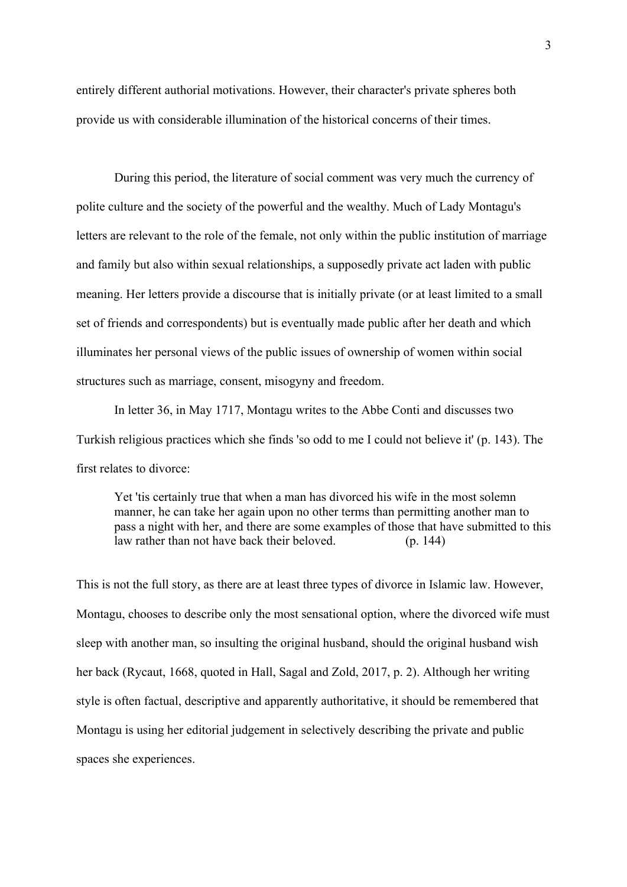entirely different authorial motivations. However, their character's private spheres both provide us with considerable illumination of the historical concerns of their times.

During this period, the literature of social comment was very much the currency of polite culture and the society of the powerful and the wealthy. Much of Lady Montagu's letters are relevant to the role of the female, not only within the public institution of marriage and family but also within sexual relationships, a supposedly private act laden with public meaning. Her letters provide a discourse that is initially private (or at least limited to a small set of friends and correspondents) but is eventually made public after her death and which illuminates her personal views of the public issues of ownership of women within social structures such as marriage, consent, misogyny and freedom.

In letter 36, in May 1717, Montagu writes to the Abbe Conti and discusses two Turkish religious practices which she finds 'so odd to me I could not believe it' (p. 143). The first relates to divorce:

Yet 'tis certainly true that when a man has divorced his wife in the most solemn manner, he can take her again upon no other terms than permitting another man to pass a night with her, and there are some examples of those that have submitted to this law rather than not have back their beloved. (p. 144)

This is not the full story, as there are at least three types of divorce in Islamic law. However, Montagu, chooses to describe only the most sensational option, where the divorced wife must sleep with another man, so insulting the original husband, should the original husband wish her back (Rycaut, 1668, quoted in Hall, Sagal and Zold, 2017, p. 2). Although her writing style is often factual, descriptive and apparently authoritative, it should be remembered that Montagu is using her editorial judgement in selectively describing the private and public spaces she experiences.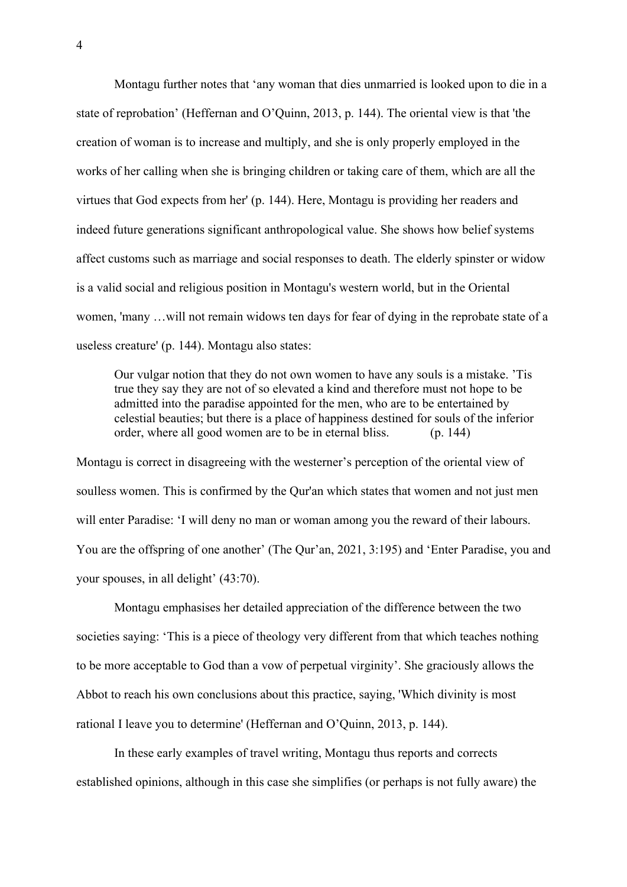Montagu further notes that 'any woman that dies unmarried is looked upon to die in a state of reprobation' (Heffernan and O'Quinn, 2013, p. 144). The oriental view is that 'the creation of woman is to increase and multiply, and she is only properly employed in the works of her calling when she is bringing children or taking care of them, which are all the virtues that God expects from her' (p. 144). Here, Montagu is providing her readers and indeed future generations significant anthropological value. She shows how belief systems affect customs such as marriage and social responses to death. The elderly spinster or widow is a valid social and religious position in Montagu's western world, but in the Oriental women, 'many …will not remain widows ten days for fear of dying in the reprobate state of a useless creature' (p. 144). Montagu also states:

Our vulgar notion that they do not own women to have any souls is a mistake. 'Tis true they say they are not of so elevated a kind and therefore must not hope to be admitted into the paradise appointed for the men, who are to be entertained by celestial beauties; but there is a place of happiness destined for souls of the inferior order, where all good women are to be in eternal bliss. (p. 144)

Montagu is correct in disagreeing with the westerner's perception of the oriental view of soulless women. This is confirmed by the Qur'an which states that women and not just men will enter Paradise: 'I will deny no man or woman among you the reward of their labours. You are the offspring of one another' (The Qur'an, 2021, 3:195) and 'Enter Paradise, you and your spouses, in all delight' (43:70).

Montagu emphasises her detailed appreciation of the difference between the two societies saying: 'This is a piece of theology very different from that which teaches nothing to be more acceptable to God than a vow of perpetual virginity'. She graciously allows the Abbot to reach his own conclusions about this practice, saying, 'Which divinity is most rational I leave you to determine' (Heffernan and O'Quinn, 2013, p. 144).

In these early examples of travel writing, Montagu thus reports and corrects established opinions, although in this case she simplifies (or perhaps is not fully aware) the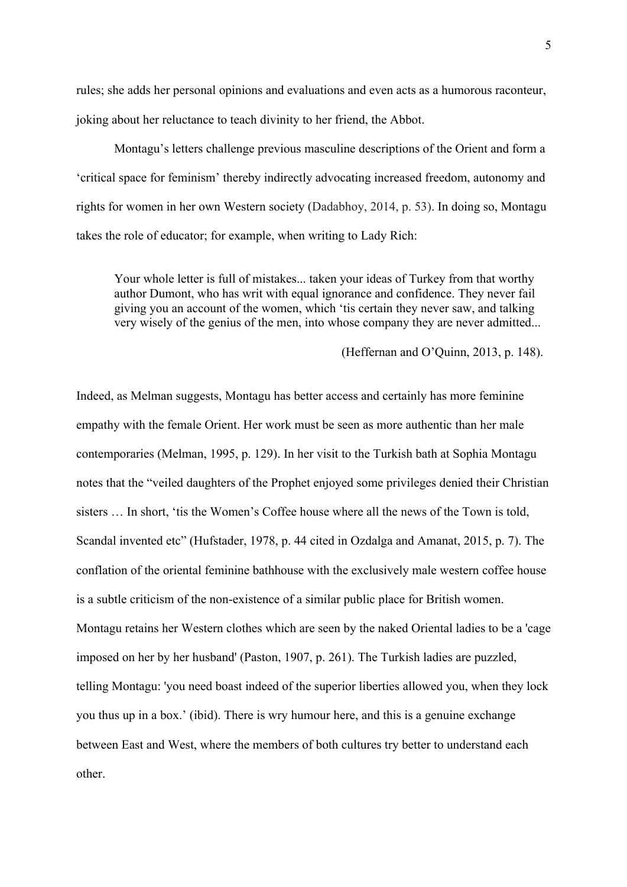rules; she adds her personal opinions and evaluations and even acts as a humorous raconteur, joking about her reluctance to teach divinity to her friend, the Abbot.

Montagu's letters challenge previous masculine descriptions of the Orient and form a 'critical space for feminism' thereby indirectly advocating increased freedom, autonomy and rights for women in her own Western society (Dadabhoy, 2014, p. 53). In doing so, Montagu takes the role of educator; for example, when writing to Lady Rich:

Your whole letter is full of mistakes... taken your ideas of Turkey from that worthy author Dumont, who has writ with equal ignorance and confidence. They never fail giving you an account of the women, which 'tis certain they never saw, and talking very wisely of the genius of the men, into whose company they are never admitted...

## (Heffernan and O'Quinn, 2013, p. 148).

Indeed, as Melman suggests, Montagu has better access and certainly has more feminine empathy with the female Orient. Her work must be seen as more authentic than her male contemporaries (Melman, 1995, p. 129). In her visit to the Turkish bath at Sophia Montagu notes that the "veiled daughters of the Prophet enjoyed some privileges denied their Christian sisters … In short, 'tis the Women's Coffee house where all the news of the Town is told, Scandal invented etc" (Hufstader, 1978, p. 44 cited in Ozdalga and Amanat, 2015, p. 7). The conflation of the oriental feminine bathhouse with the exclusively male western coffee house is a subtle criticism of the non-existence of a similar public place for British women. Montagu retains her Western clothes which are seen by the naked Oriental ladies to be a 'cage imposed on her by her husband' (Paston, 1907, p. 261). The Turkish ladies are puzzled, telling Montagu: 'you need boast indeed of the superior liberties allowed you, when they lock you thus up in a box.' (ibid). There is wry humour here, and this is a genuine exchange between East and West, where the members of both cultures try better to understand each other.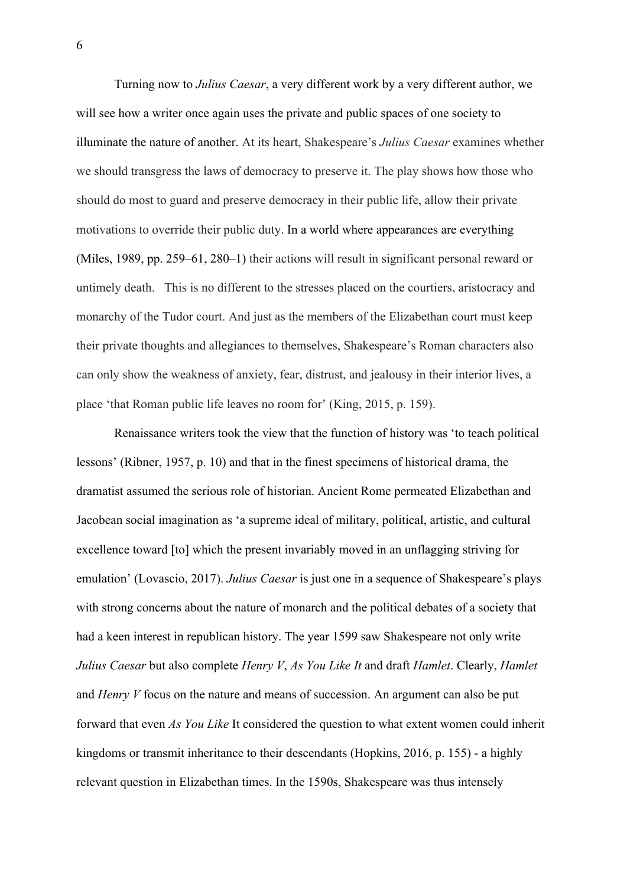Turning now to *Julius Caesar*, a very different work by a very different author, we will see how a writer once again uses the private and public spaces of one society to illuminate the nature of another. At its heart, Shakespeare's *Julius Caesar* examines whether we should transgress the laws of democracy to preserve it. The play shows how those who should do most to guard and preserve democracy in their public life, allow their private motivations to override their public duty. In a world where appearances are everything (Miles, 1989, pp. 259–61, 280–1) their actions will result in significant personal reward or untimely death. This is no different to the stresses placed on the courtiers, aristocracy and monarchy of the Tudor court. And just as the members of the Elizabethan court must keep their private thoughts and allegiances to themselves, Shakespeare's Roman characters also can only show the weakness of anxiety, fear, distrust, and jealousy in their interior lives, a place 'that Roman public life leaves no room for' (King, 2015, p. 159).

Renaissance writers took the view that the function of history was 'to teach political lessons' (Ribner, 1957, p. 10) and that in the finest specimens of historical drama, the dramatist assumed the serious role of historian. Ancient Rome permeated Elizabethan and Jacobean social imagination as 'a supreme ideal of military, political, artistic, and cultural excellence toward [to] which the present invariably moved in an unflagging striving for emulation' (Lovascio, 2017). *Julius Caesar* is just one in a sequence of Shakespeare's plays with strong concerns about the nature of monarch and the political debates of a society that had a keen interest in republican history. The year 1599 saw Shakespeare not only write *Julius Caesar* but also complete *Henry V*, *As You Like It* and draft *Hamlet*. Clearly, *Hamlet* and *Henry V* focus on the nature and means of succession. An argument can also be put forward that even *As You Like* It considered the question to what extent women could inherit kingdoms or transmit inheritance to their descendants (Hopkins, 2016, p. 155) - a highly relevant question in Elizabethan times. In the 1590s, Shakespeare was thus intensely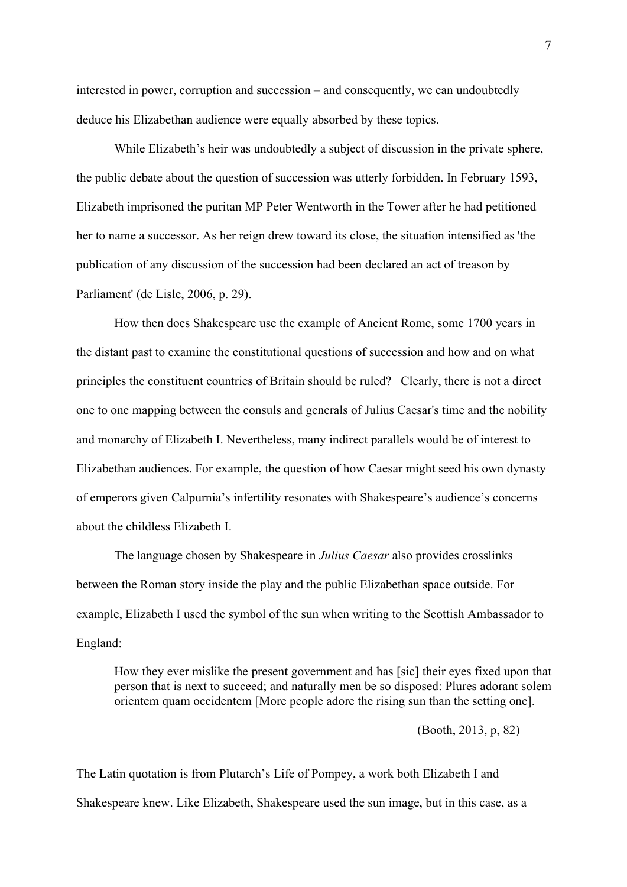interested in power, corruption and succession – and consequently, we can undoubtedly deduce his Elizabethan audience were equally absorbed by these topics.

While Elizabeth's heir was undoubtedly a subject of discussion in the private sphere, the public debate about the question of succession was utterly forbidden. In February 1593, Elizabeth imprisoned the puritan MP Peter Wentworth in the Tower after he had petitioned her to name a successor. As her reign drew toward its close, the situation intensified as 'the publication of any discussion of the succession had been declared an act of treason by Parliament' (de Lisle, 2006, p. 29).

How then does Shakespeare use the example of Ancient Rome, some 1700 years in the distant past to examine the constitutional questions of succession and how and on what principles the constituent countries of Britain should be ruled? Clearly, there is not a direct one to one mapping between the consuls and generals of Julius Caesar's time and the nobility and monarchy of Elizabeth I. Nevertheless, many indirect parallels would be of interest to Elizabethan audiences. For example, the question of how Caesar might seed his own dynasty of emperors given Calpurnia's infertility resonates with Shakespeare's audience's concerns about the childless Elizabeth I.

The language chosen by Shakespeare in *Julius Caesar* also provides crosslinks between the Roman story inside the play and the public Elizabethan space outside. For example, Elizabeth I used the symbol of the sun when writing to the Scottish Ambassador to England:

How they ever mislike the present government and has [sic] their eyes fixed upon that person that is next to succeed; and naturally men be so disposed: Plures adorant solem orientem quam occidentem [More people adore the rising sun than the setting one].

(Booth, 2013, p, 82)

The Latin quotation is from Plutarch's Life of Pompey, a work both Elizabeth I and Shakespeare knew. Like Elizabeth, Shakespeare used the sun image, but in this case, as a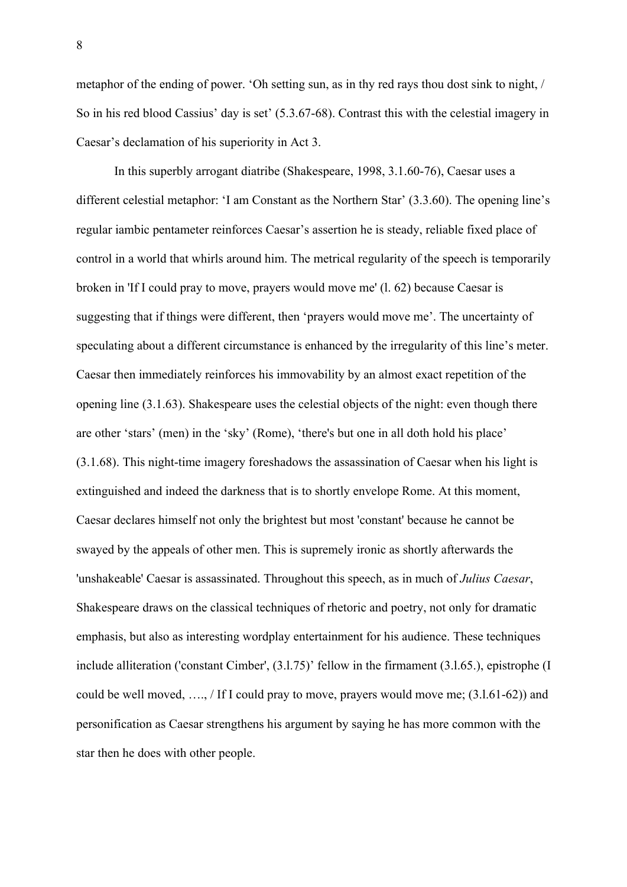metaphor of the ending of power. 'Oh setting sun, as in thy red rays thou dost sink to night, / So in his red blood Cassius' day is set' (5.3.67-68). Contrast this with the celestial imagery in Caesar's declamation of his superiority in Act 3.

In this superbly arrogant diatribe (Shakespeare, 1998, 3.1.60-76), Caesar uses a different celestial metaphor: 'I am Constant as the Northern Star' (3.3.60). The opening line's regular iambic pentameter reinforces Caesar's assertion he is steady, reliable fixed place of control in a world that whirls around him. The metrical regularity of the speech is temporarily broken in 'If I could pray to move, prayers would move me' (l. 62) because Caesar is suggesting that if things were different, then 'prayers would move me'. The uncertainty of speculating about a different circumstance is enhanced by the irregularity of this line's meter. Caesar then immediately reinforces his immovability by an almost exact repetition of the opening line (3.1.63). Shakespeare uses the celestial objects of the night: even though there are other 'stars' (men) in the 'sky' (Rome), 'there's but one in all doth hold his place' (3.1.68). This night-time imagery foreshadows the assassination of Caesar when his light is extinguished and indeed the darkness that is to shortly envelope Rome. At this moment, Caesar declares himself not only the brightest but most 'constant' because he cannot be swayed by the appeals of other men. This is supremely ironic as shortly afterwards the 'unshakeable' Caesar is assassinated. Throughout this speech, as in much of *Julius Caesar*, Shakespeare draws on the classical techniques of rhetoric and poetry, not only for dramatic emphasis, but also as interesting wordplay entertainment for his audience. These techniques include alliteration ('constant Cimber', (3.l.75)' fellow in the firmament (3.l.65.), epistrophe (I could be well moved, …., / If I could pray to move, prayers would move me; (3.l.61-62)) and personification as Caesar strengthens his argument by saying he has more common with the star then he does with other people.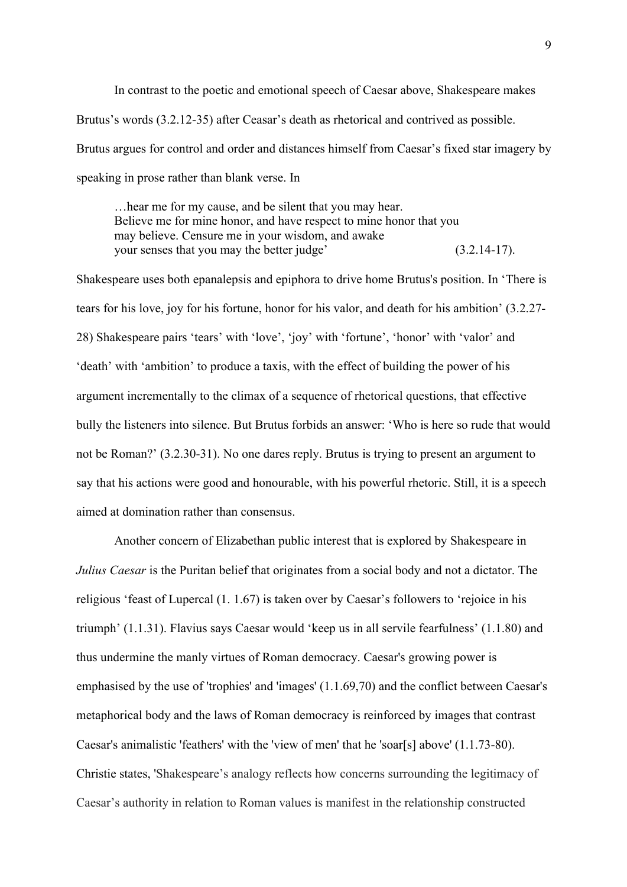In contrast to the poetic and emotional speech of Caesar above, Shakespeare makes Brutus's words (3.2.12-35) after Ceasar's death as rhetorical and contrived as possible. Brutus argues for control and order and distances himself from Caesar's fixed star imagery by speaking in prose rather than blank verse. In

…hear me for my cause, and be silent that you may hear. Believe me for mine honor, and have respect to mine honor that you may believe. Censure me in your wisdom, and awake your senses that you may the better judge' (3.2.14-17).

Shakespeare uses both epanalepsis and epiphora to drive home Brutus's position. In 'There is tears for his love, joy for his fortune, honor for his valor, and death for his ambition' (3.2.27- 28) Shakespeare pairs 'tears' with 'love', 'joy' with 'fortune', 'honor' with 'valor' and 'death' with 'ambition' to produce a taxis, with the effect of building the power of his argument incrementally to the climax of a sequence of rhetorical questions, that effective bully the listeners into silence. But Brutus forbids an answer: 'Who is here so rude that would not be Roman?' (3.2.30-31). No one dares reply. Brutus is trying to present an argument to say that his actions were good and honourable, with his powerful rhetoric. Still, it is a speech aimed at domination rather than consensus.

Another concern of Elizabethan public interest that is explored by Shakespeare in *Julius Caesar* is the Puritan belief that originates from a social body and not a dictator. The religious 'feast of Lupercal (1. 1.67) is taken over by Caesar's followers to 'rejoice in his triumph' (1.1.31). Flavius says Caesar would 'keep us in all servile fearfulness' (1.1.80) and thus undermine the manly virtues of Roman democracy. Caesar's growing power is emphasised by the use of 'trophies' and 'images' (1.1.69,70) and the conflict between Caesar's metaphorical body and the laws of Roman democracy is reinforced by images that contrast Caesar's animalistic 'feathers' with the 'view of men' that he 'soar[s] above' (1.1.73-80). Christie states, 'Shakespeare's analogy reflects how concerns surrounding the legitimacy of Caesar's authority in relation to Roman values is manifest in the relationship constructed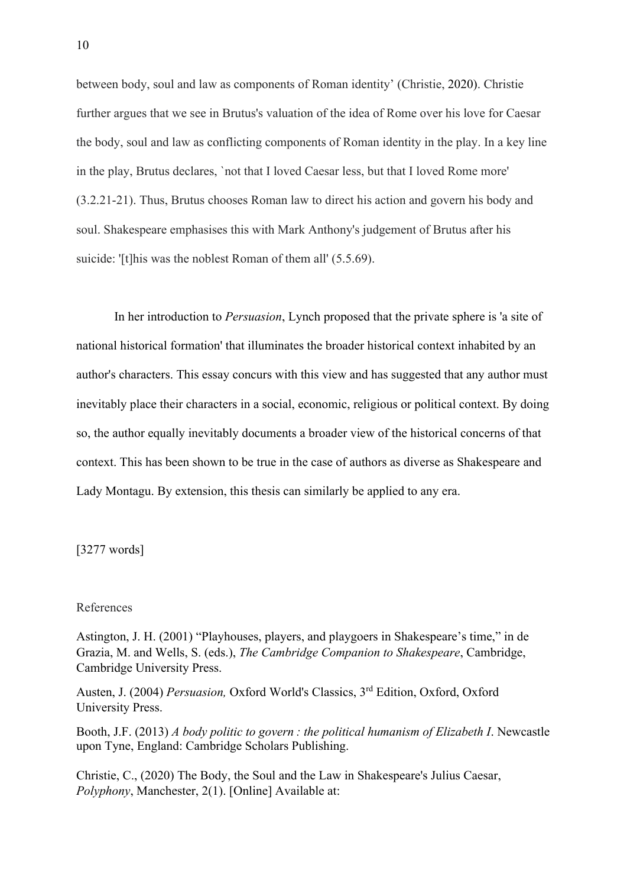between body, soul and law as components of Roman identity' (Christie, 2020). Christie further argues that we see in Brutus's valuation of the idea of Rome over his love for Caesar the body, soul and law as conflicting components of Roman identity in the play. In a key line in the play, Brutus declares, `not that I loved Caesar less, but that I loved Rome more' (3.2.21-21). Thus, Brutus chooses Roman law to direct his action and govern his body and soul. Shakespeare emphasises this with Mark Anthony's judgement of Brutus after his suicide: '[t]his was the noblest Roman of them all' (5.5.69).

In her introduction to *Persuasion*, Lynch proposed that the private sphere is 'a site of national historical formation' that illuminates the broader historical context inhabited by an author's characters. This essay concurs with this view and has suggested that any author must inevitably place their characters in a social, economic, religious or political context. By doing so, the author equally inevitably documents a broader view of the historical concerns of that context. This has been shown to be true in the case of authors as diverse as Shakespeare and Lady Montagu. By extension, this thesis can similarly be applied to any era.

[3277 words]

## References

Astington, J. H. (2001) "Playhouses, players, and playgoers in Shakespeare's time," in de Grazia, M. and Wells, S. (eds.), *The Cambridge Companion to Shakespeare*, Cambridge, Cambridge University Press.

Austen, J. (2004) *Persuasion,* Oxford World's Classics, 3rd Edition, Oxford, Oxford University Press.

Booth, J.F. (2013) *A body politic to govern : the political humanism of Elizabeth I*. Newcastle upon Tyne, England: Cambridge Scholars Publishing.

Christie, C., (2020) The Body, the Soul and the Law in Shakespeare's Julius Caesar, *Polyphony*, Manchester, 2(1). [Online] Available at: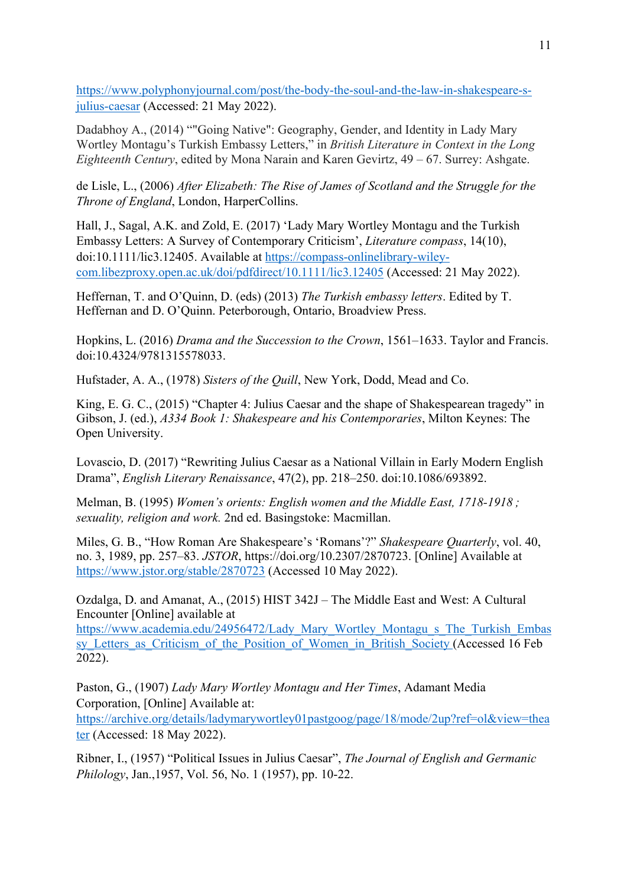https://www.polyphonyjournal.com/post/the-body-the-soul-and-the-law-in-shakespeare-sjulius-caesar (Accessed: 21 May 2022).

Dadabhoy A., (2014) ""Going Native": Geography, Gender, and Identity in Lady Mary Wortley Montagu's Turkish Embassy Letters," in *British Literature in Context in the Long Eighteenth Century*, edited by Mona Narain and Karen Gevirtz, 49 – 67. Surrey: Ashgate.

de Lisle, L., (2006) *After Elizabeth: The Rise of James of Scotland and the Struggle for the Throne of England*, London, HarperCollins.

Hall, J., Sagal, A.K. and Zold, E. (2017) 'Lady Mary Wortley Montagu and the Turkish Embassy Letters: A Survey of Contemporary Criticism', *Literature compass*, 14(10), doi:10.1111/lic3.12405. Available at https://compass-onlinelibrary-wileycom.libezproxy.open.ac.uk/doi/pdfdirect/10.1111/lic3.12405 (Accessed: 21 May 2022).

Heffernan, T. and O'Quinn, D. (eds) (2013) *The Turkish embassy letters*. Edited by T. Heffernan and D. O'Quinn. Peterborough, Ontario, Broadview Press.

Hopkins, L. (2016) *Drama and the Succession to the Crown*, 1561–1633. Taylor and Francis. doi:10.4324/9781315578033.

Hufstader, A. A., (1978) *Sisters of the Quill*, New York, Dodd, Mead and Co.

King, E. G. C., (2015) "Chapter 4: Julius Caesar and the shape of Shakespearean tragedy" in Gibson, J. (ed.), *A334 Book 1: Shakespeare and his Contemporaries*, Milton Keynes: The Open University.

Lovascio, D. (2017) "Rewriting Julius Caesar as a National Villain in Early Modern English Drama", *English Literary Renaissance*, 47(2), pp. 218–250. doi:10.1086/693892.

Melman, B. (1995) *Women's orients: English women and the Middle East, 1718-1918 ; sexuality, religion and work.* 2nd ed. Basingstoke: Macmillan.

Miles, G. B., "How Roman Are Shakespeare's 'Romans'?" *Shakespeare Quarterly*, vol. 40, no. 3, 1989, pp. 257–83. *JSTOR*, https://doi.org/10.2307/2870723. [Online] Available at https://www.jstor.org/stable/2870723 (Accessed 10 May 2022).

Ozdalga, D. and Amanat, A., (2015) HIST 342J – The Middle East and West: A Cultural Encounter [Online] available at

https://www.academia.edu/24956472/Lady Mary Wortley Montagu s The Turkish Embas sy\_Letters\_as\_Criticism\_of\_the\_Position\_of\_Women\_in\_British\_Society (Accessed 16 Feb 2022).

Paston, G., (1907) *Lady Mary Wortley Montagu and Her Times*, Adamant Media Corporation, [Online] Available at:

https://archive.org/details/ladymarywortley01pastgoog/page/18/mode/2up?ref=ol&view=thea ter (Accessed: 18 May 2022).

Ribner, I., (1957) "Political Issues in Julius Caesar", *The Journal of English and Germanic Philology*, Jan.,1957, Vol. 56, No. 1 (1957), pp. 10-22.